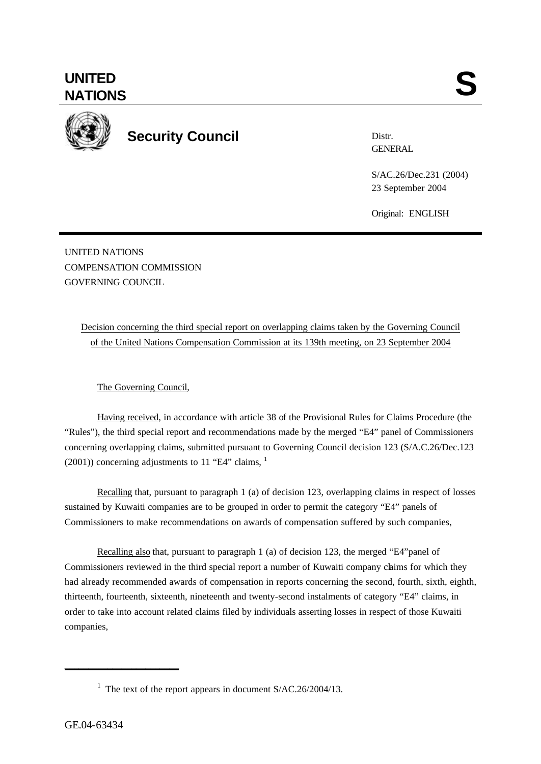

**Security Council**

Distr. **GENERAL** 

S/AC.26/Dec.231 (2004) 23 September 2004

Original: ENGLISH

UNITED NATIONS COMPENSATION COMMISSION GOVERNING COUNCIL

> Decision concerning the third special report on overlapping claims taken by the Governing Council of the United Nations Compensation Commission at its 139th meeting, on 23 September 2004

## The Governing Council,

Having received, in accordance with article 38 of the Provisional Rules for Claims Procedure (the "Rules"), the third special report and recommendations made by the merged "E4" panel of Commissioners concerning overlapping claims, submitted pursuant to Governing Council decision 123 (S/A.C.26/Dec.123  $(2001)$ ) concerning adjustments to 11 "E4" claims,  $<sup>1</sup>$ </sup>

Recalling that, pursuant to paragraph 1 (a) of decision 123, overlapping claims in respect of losses sustained by Kuwaiti companies are to be grouped in order to permit the category "E4" panels of Commissioners to make recommendations on awards of compensation suffered by such companies,

Recalling also that, pursuant to paragraph 1 (a) of decision 123, the merged "E4"panel of Commissioners reviewed in the third special report a number of Kuwaiti company claims for which they had already recommended awards of compensation in reports concerning the second, fourth, sixth, eighth, thirteenth, fourteenth, sixteenth, nineteenth and twenty-second instalments of category "E4" claims, in order to take into account related claims filed by individuals asserting losses in respect of those Kuwaiti companies,

\_\_\_\_\_\_\_\_\_\_\_\_\_\_\_\_\_\_\_\_\_\_\_\_

<sup>&</sup>lt;sup>1</sup> The text of the report appears in document  $S/AC.26/2004/13$ .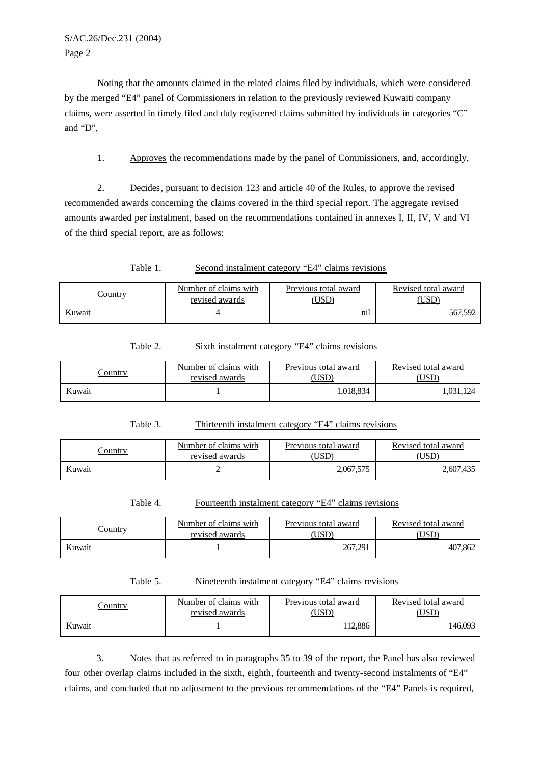S/AC.26/Dec.231 (2004) Page 2

Noting that the amounts claimed in the related claims filed by individuals, which were considered by the merged "E4" panel of Commissioners in relation to the previously reviewed Kuwaiti company claims, were asserted in timely filed and duly registered claims submitted by individuals in categories "C" and "D",

1. Approves the recommendations made by the panel of Commissioners, and, accordingly,

2. Decides, pursuant to decision 123 and article 40 of the Rules, to approve the revised recommended awards concerning the claims covered in the third special report. The aggregate revised amounts awarded per instalment, based on the recommendations contained in annexes I, II, IV, V and VI of the third special report, are as follows:

Table 1. Second instalment category "E4" claims revisions

| `ountry | Number of claims with<br>revised awards | Previous total award<br>USE | Revised total award |
|---------|-----------------------------------------|-----------------------------|---------------------|
| Kuwait  |                                         | $\cdot$ $\cdot$<br>nıl      | 567,592             |

| Table 2. | Sixth instalment category "E4" claims revisions |  |  |
|----------|-------------------------------------------------|--|--|
|          |                                                 |  |  |

| Country | Number of claims with<br>revised awards | Previous total award<br>USL | Revised total award |
|---------|-----------------------------------------|-----------------------------|---------------------|
| Kuwait  |                                         | 1.018.834                   | .031,124            |

Table 3. Thirteenth instalment category "E4" claims revisions

| Country | Number of claims with<br>revised awards | Previous total award<br>USD <sup>®</sup> | Revised total award |
|---------|-----------------------------------------|------------------------------------------|---------------------|
| Kuwait  |                                         | 2,067,575                                | 2,607,435           |

Table 4. Fourteenth instalment category "E4" claims revisions

| Country | Number of claims with<br>revised awards | Previous total award<br>USI | Revised total award |
|---------|-----------------------------------------|-----------------------------|---------------------|
| Kuwait  |                                         | 267,291                     | 407,862             |

```
Table 5. Nineteenth instalment category "E4" claims revisions
```

| `ountrv | Number of claims with<br>revised awards | Previous total award<br>USL | Revised total award |
|---------|-----------------------------------------|-----------------------------|---------------------|
| Kuwait  |                                         | 12.886                      | 146,093             |

3. Notes that as referred to in paragraphs 35 to 39 of the report, the Panel has also reviewed four other overlap claims included in the sixth, eighth, fourteenth and twenty-second instalments of "E4" claims, and concluded that no adjustment to the previous recommendations of the "E4" Panels is required,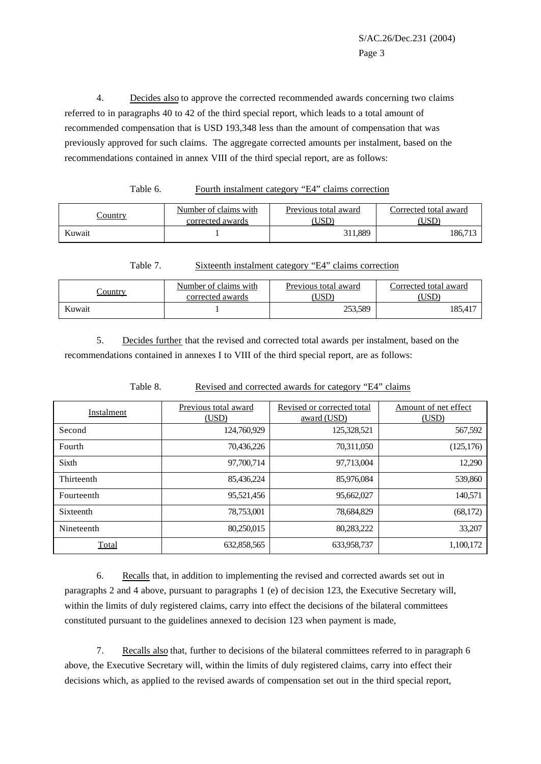4. Decides also to approve the corrected recommended awards concerning two claims referred to in paragraphs 40 to 42 of the third special report, which leads to a total amount of recommended compensation that is USD 193,348 less than the amount of compensation that was previously approved for such claims. The aggregate corrected amounts per instalment, based on the recommendations contained in annex VIII of the third special report, are as follows:

Table 6. Fourth instalment category "E4" claims correction

| <u>`ountry</u> | Number of claims with<br>corrected awards | Previous total award<br>USL | Corrected total award |
|----------------|-------------------------------------------|-----------------------------|-----------------------|
| Kuwait         |                                           | 311,889                     | 186,713               |

Table 7. Sixteenth instalment category "E4" claims correction

| 'ountry | Number of claims with<br>corrected awards | Previous total award<br>USD | Corrected total award |
|---------|-------------------------------------------|-----------------------------|-----------------------|
| Kuwait  |                                           | 253,589                     | 185.41                |

5. Decides further that the revised and corrected total awards per instalment, based on the recommendations contained in annexes I to VIII of the third special report, are as follows:

| Instalment | Previous total award<br>(USD) | Revised or corrected total<br>award (USD) | Amount of net effect<br>(USD) |
|------------|-------------------------------|-------------------------------------------|-------------------------------|
| Second     | 124,760,929                   | 125,328,521                               | 567,592                       |
| Fourth     | 70,436,226                    | 70,311,050                                | (125, 176)                    |
| Sixth      | 97,700,714                    | 97,713,004                                | 12,290                        |
| Thirteenth | 85,436,224                    | 85,976,084                                | 539,860                       |
| Fourteenth | 95,521,456                    | 95,662,027                                | 140,571                       |
| Sixteenth  | 78,753,001                    | 78,684,829                                | (68, 172)                     |
| Nineteenth | 80,250,015                    | 80,283,222                                | 33,207                        |
| Total      | 632,858,565                   | 633,958,737                               | 1,100,172                     |

Table 8. Revised and corrected awards for category "E4" claims

6. Recalls that, in addition to implementing the revised and corrected awards set out in paragraphs 2 and 4 above, pursuant to paragraphs 1 (e) of decision 123, the Executive Secretary will, within the limits of duly registered claims, carry into effect the decisions of the bilateral committees constituted pursuant to the guidelines annexed to decision 123 when payment is made,

7. Recalls also that, further to decisions of the bilateral committees referred to in paragraph 6 above, the Executive Secretary will, within the limits of duly registered claims, carry into effect their decisions which, as applied to the revised awards of compensation set out in the third special report,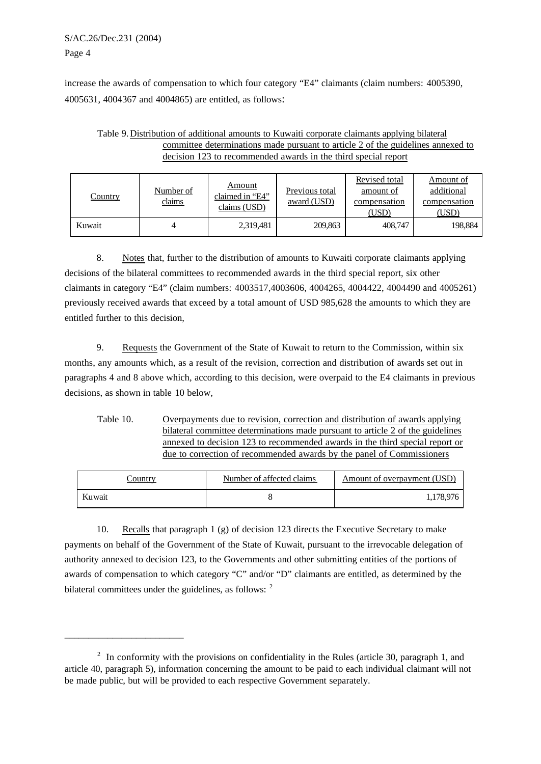## S/AC.26/Dec.231 (2004) Page 4

\_\_\_\_\_\_\_\_\_\_\_\_\_\_\_\_\_\_\_\_\_\_\_\_\_

increase the awards of compensation to which four category "E4" claimants (claim numbers: 4005390, 4005631, 4004367 and 4004865) are entitled, as follows:

| Table 9. Distribution of additional amounts to Kuwaiti corporate claimants applying bilateral |
|-----------------------------------------------------------------------------------------------|
| committee determinations made pursuant to article 2 of the guidelines annexed to              |
| decision 123 to recommended awards in the third special report                                |

| <u>Country</u> | Number of<br>claims | Amount<br>claimed in "E4"<br>claims (USD) | Previous total<br>award (USD) | Revised total<br>amount of<br>compensation<br>(USD) | Amount of<br>additional<br>compensation<br>(USD) |
|----------------|---------------------|-------------------------------------------|-------------------------------|-----------------------------------------------------|--------------------------------------------------|
| Kuwait         |                     | 2,319,481                                 | 209,863                       | 408,747                                             | 198,884                                          |

8. Notes that, further to the distribution of amounts to Kuwaiti corporate claimants applying decisions of the bilateral committees to recommended awards in the third special report, six other claimants in category "E4" (claim numbers: 4003517,4003606, 4004265, 4004422, 4004490 and 4005261) previously received awards that exceed by a total amount of USD 985,628 the amounts to which they are entitled further to this decision,

9. Requests the Government of the State of Kuwait to return to the Commission, within six months, any amounts which, as a result of the revision, correction and distribution of awards set out in paragraphs 4 and 8 above which, according to this decision, were overpaid to the E4 claimants in previous decisions, as shown in table 10 below,

Table 10. Overpayments due to revision, correction and distribution of awards applying bilateral committee determinations made pursuant to article 2 of the guidelines annexed to decision 123 to recommended awards in the third special report or due to correction of recommended awards by the panel of Commissioners

| Country | Number of affected claims | Amount of overpayment (USD) |
|---------|---------------------------|-----------------------------|
| Kuwait  |                           | 178.976                     |

10. Recalls that paragraph 1 (g) of decision 123 directs the Executive Secretary to make payments on behalf of the Government of the State of Kuwait, pursuant to the irrevocable delegation of authority annexed to decision 123, to the Governments and other submitting entities of the portions of awards of compensation to which category "C" and/or "D" claimants are entitled, as determined by the bilateral committees under the guidelines, as follows:  $2\overline{ }$ 

<sup>&</sup>lt;sup>2</sup> In conformity with the provisions on confidentiality in the Rules (article 30, paragraph 1, and article 40, paragraph 5), information concerning the amount to be paid to each individual claimant will not be made public, but will be provided to each respective Government separately.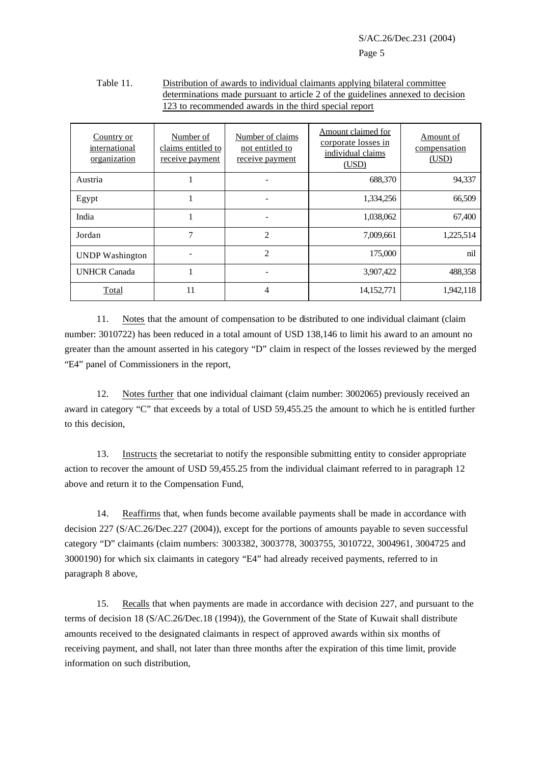## Table 11. Distribution of awards to individual claimants applying bilateral committee determinations made pursuant to article 2 of the guidelines annexed to decision 123 to recommended awards in the third special report

| Country or<br>international<br>organization | Number of<br>claims entitled to<br>receive payment | Number of claims<br>not entitled to<br>receive payment | Amount claimed for<br>corporate losses in<br>individual claims<br>(USD) | Amount of<br>compensation<br>(USD) |
|---------------------------------------------|----------------------------------------------------|--------------------------------------------------------|-------------------------------------------------------------------------|------------------------------------|
| Austria                                     |                                                    |                                                        | 688,370                                                                 | 94,337                             |
| Egypt                                       |                                                    |                                                        | 1,334,256                                                               | 66,509                             |
| India                                       |                                                    |                                                        | 1,038,062                                                               | 67,400                             |
| Jordan                                      | $\overline{7}$                                     | $\overline{c}$                                         | 7,009,661                                                               | 1,225,514                          |
| <b>UNDP</b> Washington                      |                                                    | $\mathfrak{D}$                                         | 175,000                                                                 | nil                                |
| <b>UNHCR Canada</b>                         |                                                    |                                                        | 3,907,422                                                               | 488,358                            |
| Total                                       | 11                                                 | 4                                                      | 14,152,771                                                              | 1,942,118                          |

11. Notes that the amount of compensation to be distributed to one individual claimant (claim number: 3010722) has been reduced in a total amount of USD 138,146 to limit his award to an amount no greater than the amount asserted in his category "D" claim in respect of the losses reviewed by the merged "E4" panel of Commissioners in the report,

12. Notes further that one individual claimant (claim number: 3002065) previously received an award in category "C" that exceeds by a total of USD 59,455.25 the amount to which he is entitled further to this decision,

13. Instructs the secretariat to notify the responsible submitting entity to consider appropriate action to recover the amount of USD 59,455.25 from the individual claimant referred to in paragraph 12 above and return it to the Compensation Fund,

14. Reaffirms that, when funds become available payments shall be made in accordance with decision 227 (S/AC.26/Dec.227 (2004)), except for the portions of amounts payable to seven successful category "D" claimants (claim numbers: 3003382, 3003778, 3003755, 3010722, 3004961, 3004725 and 3000190) for which six claimants in category "E4" had already received payments, referred to in paragraph 8 above,

15. Recalls that when payments are made in accordance with decision 227, and pursuant to the terms of decision 18 (S/AC.26/Dec.18 (1994)), the Government of the State of Kuwait shall distribute amounts received to the designated claimants in respect of approved awards within six months of receiving payment, and shall, not later than three months after the expiration of this time limit, provide information on such distribution,